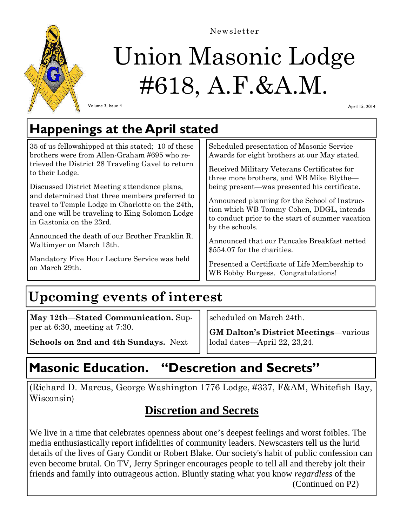

# Union Masonic Lodge #618, A.F.&A.M.

Newsletter

Volume 3, Issue 4

April 15, 2014

## **Happenings at the April stated**

35 of us fellowshipped at this stated; 10 of these brothers were from Allen-Graham #695 who retrieved the District 28 Traveling Gavel to return to their Lodge.

Discussed District Meeting attendance plans, and determined that three members preferred to travel to Temple Lodge in Charlotte on the 24th, and one will be traveling to King Solomon Lodge in Gastonia on the 23rd.

Announced the death of our Brother Franklin R. Waltimyer on March 13th.

Mandatory Five Hour Lecture Service was held on March 29th.

Scheduled presentation of Masonic Service Awards for eight brothers at our May stated.

Received Military Veterans Certificates for three more brothers, and WB Mike Blythe being present—was presented his certificate.

Announced planning for the School of Instruction which WB Tommy Cohen, DDGL, intends to conduct prior to the start of summer vacation by the schools.

Announced that our Pancake Breakfast netted \$554.07 for the charities.

Presented a Certificate of Life Membership to WB Bobby Burgess. Congratulations!

# **Upcoming events of interest**

**May 12th—Stated Communication.** Supper at 6:30, meeting at 7:30.

**Schools on 2nd and 4th Sundays.** Next

scheduled on March 24th.

**GM Dalton's District Meetings**—various lodal dates—April 22, 23,24.

## **Masonic Education. "Descretion and Secrets"**

(Richard D. Marcus, George Washington 1776 Lodge, #337, F&AM, Whitefish Bay, Wisconsin)

#### **Discretion and Secrets**

We live in a time that celebrates openness about one's deepest feelings and worst foibles. The media enthusiastically report infidelities of community leaders. Newscasters tell us the lurid details of the lives of Gary Condit or Robert Blake. Our society's habit of public confession can even become brutal. On TV, Jerry Springer encourages people to tell all and thereby jolt their friends and family into outrageous action. Bluntly stating what you know *regardless* of the (Continued on P2)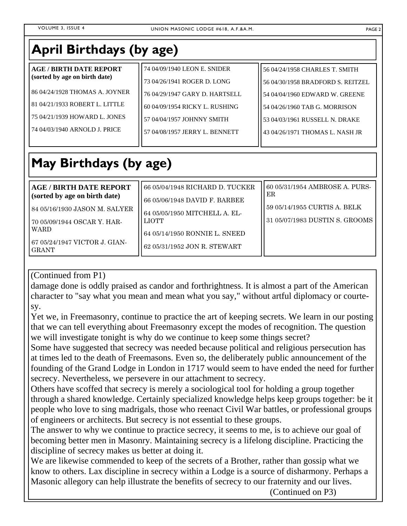## **April Birthdays (by age)**

| <b>AGE / BIRTH DATE REPORT</b>   | 74 04/09/1940 LEON E. SNIDER   | 56 04/24/1958 CHARLES T. SMITH    |
|----------------------------------|--------------------------------|-----------------------------------|
| (sorted by age on birth date)    | 73 04/26/1941 ROGER D. LONG    | 56 04/30/1958 BRADFORD S. REITZEL |
| 86 04/24/1928 THOMAS A. JOYNER   | 76 04/29/1947 GARY D. HARTSELL | 54 04/04/1960 EDWARD W. GREENE    |
| l 81 04/21/1933 ROBERT L. LITTLE | 60 04/09/1954 RICKY L. RUSHING | l 54 04/26/1960 TAB G. MORRISON   |
| 175 04/21/1939 HOWARD L. JONES   | 57 04/04/1957 JOHNNY SMITH     | 53 04/03/1961 RUSSELL N. DRAKE    |
| l 74 04/03/1940 ARNOLD J. PRICE  | 57 04/08/1957 JERRY L. BENNETT | 43 04/26/1971 THOMAS L. NASH JR   |
|                                  |                                |                                   |

## **May Birthdays (by age)**

| <b>AGE / BIRTH DATE REPORT</b>                                                                                               | 66 05/04/1948 RICHARD D. TUCKER                                                                         | 60 05/31/1954 AMBROSE A. PURS-                                 |
|------------------------------------------------------------------------------------------------------------------------------|---------------------------------------------------------------------------------------------------------|----------------------------------------------------------------|
| (sorted by age on birth date)                                                                                                | 66 05/06/1948 DAVID F. BARBEE                                                                           | ER                                                             |
| 84 05/16/1930 JASON M. SALYER<br>70 05/09/1944 OSCAR Y. HAR-<br><b>WARD</b><br>67 05/24/1947 VICTOR J. GIAN-<br><b>GRANT</b> | 64 05/05/1950 MITCHELL A. EL-<br>LIOTT<br>64 05/14/1950 RONNIE L. SNEED<br>62 05/31/1952 JON R. STEWART | 59 05/14/1955 CURTIS A. BELK<br>31 05/07/1983 DUSTIN S. GROOMS |

(Continued from P1)

damage done is oddly praised as candor and forthrightness. It is almost a part of the American character to "say what you mean and mean what you say," without artful diplomacy or courtesy.

Yet we, in Freemasonry, continue to practice the art of keeping secrets. We learn in our posting that we can tell everything about Freemasonry except the modes of recognition. The question we will investigate tonight is why do we continue to keep some things secret?

Some have suggested that secrecy was needed because political and religious persecution has at times led to the death of Freemasons. Even so, the deliberately public announcement of the founding of the Grand Lodge in London in 1717 would seem to have ended the need for further secrecy. Nevertheless, we persevere in our attachment to secrecy.

Others have scoffed that secrecy is merely a sociological tool for holding a group together through a shared knowledge. Certainly specialized knowledge helps keep groups together: be it people who love to sing madrigals, those who reenact Civil War battles, or professional groups of engineers or architects. But secrecy is not essential to these groups.

The answer to why we continue to practice secrecy, it seems to me, is to achieve our goal of becoming better men in Masonry. Maintaining secrecy is a lifelong discipline. Practicing the discipline of secrecy makes us better at doing it.

We are likewise commended to keep of the secrets of a Brother, rather than gossip what we know to others. Lax discipline in secrecy within a Lodge is a source of disharmony. Perhaps a Masonic allegory can help illustrate the benefits of secrecy to our fraternity and our lives.

(Continued on P3)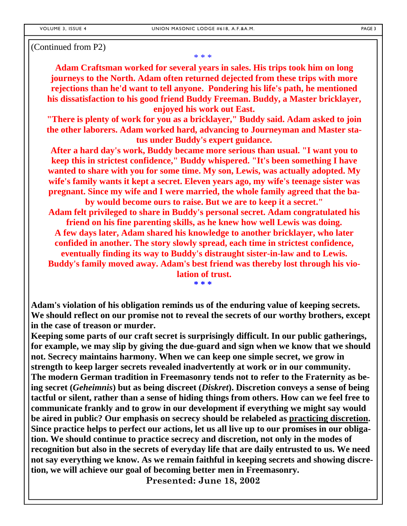#### (Continued from P2)

\* \* \*

**Adam Craftsman worked for several years in sales. His trips took him on long journeys to the North. Adam often returned dejected from these trips with more rejections than he'd want to tell anyone. Pondering his life's path, he mentioned his dissatisfaction to his good friend Buddy Freeman. Buddy, a Master bricklayer, enjoyed his work out East.** 

**"There is plenty of work for you as a bricklayer," Buddy said. Adam asked to join the other laborers. Adam worked hard, advancing to Journeyman and Master status under Buddy's expert guidance.** 

**After a hard day's work, Buddy became more serious than usual. "I want you to keep this in strictest confidence," Buddy whispered. "It's been something I have wanted to share with you for some time. My son, Lewis, was actually adopted. My wife's family wants it kept a secret. Eleven years ago, my wife's teenage sister was pregnant. Since my wife and I were married, the whole family agreed that the ba-**

**by would become ours to raise. But we are to keep it a secret." Adam felt privileged to share in Buddy's personal secret. Adam congratulated his friend on his fine parenting skills, as he knew how well Lewis was doing. A few days later, Adam shared his knowledge to another bricklayer, who later confided in another. The story slowly spread, each time in strictest confidence, eventually finding its way to Buddy's distraught sister-in-law and to Lewis. Buddy's family moved away. Adam's best friend was thereby lost through his vio-**

> **lation of trust. \* \* \***

**Adam's violation of his obligation reminds us of the enduring value of keeping secrets. We should reflect on our promise not to reveal the secrets of our worthy brothers, except in the case of treason or murder.** 

**Keeping some parts of our craft secret is surprisingly difficult. In our public gatherings, for example, we may slip by giving the due-guard and sign when we know that we should not. Secrecy maintains harmony. When we can keep one simple secret, we grow in strength to keep larger secrets revealed inadvertently at work or in our community. The modern German tradition in Freemasonry tends not to refer to the Fraternity as being secret (***Geheimnis***) but as being discreet (***Diskret***). Discretion conveys a sense of being tactful or silent, rather than a sense of hiding things from others. How can we feel free to communicate frankly and to grow in our development if everything we might say would be aired in public? Our emphasis on secrecy should be relabeled as practicing discretion. Since practice helps to perfect our actions, let us all live up to our promises in our obligation. We should continue to practice secrecy and discretion, not only in the modes of recognition but also in the secrets of everyday life that are daily entrusted to us. We need not say everything we know. As we remain faithful in keeping secrets and showing discretion, we will achieve our goal of becoming better men in Freemasonry.** 

**Presented: June 18, 2002**